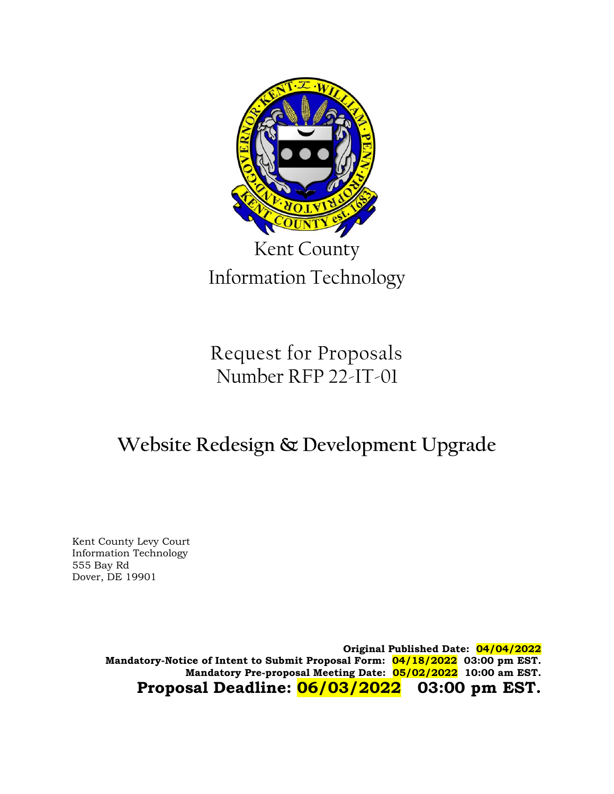

Request for Proposals Number RFP 22-IT-01

# **Website Redesign & Development Upgrade**

Kent County Levy Court Information Technology 555 Bay Rd Dover, DE 19901

> **Original Published Date: 04/04/2022 Mandatory-Notice of Intent to Submit Proposal Form: 04/18/2022 03:00 pm EST. Mandatory Pre-proposal Meeting Date: 05/02/2022 10:00 am EST. Proposal Deadline: 06/03/2022 03:00 pm EST.**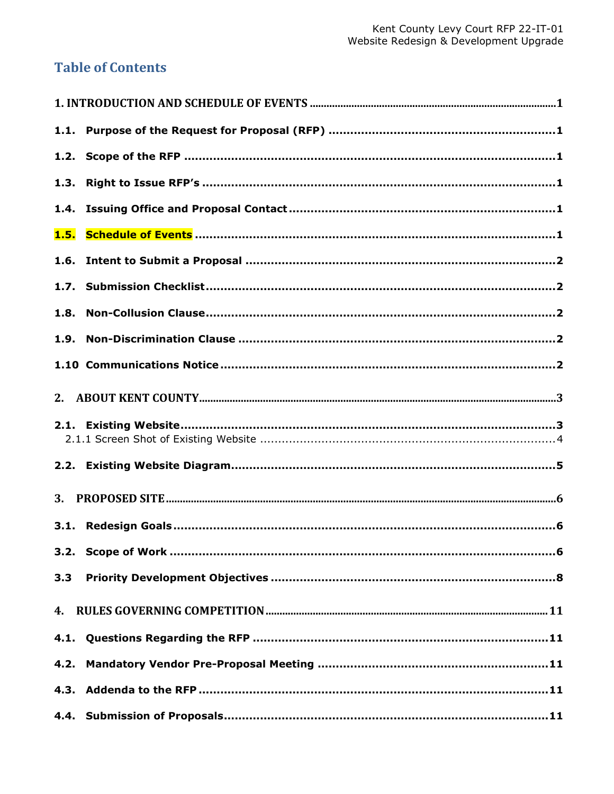## **Table of Contents**

| 1.5. |  |
|------|--|
|      |  |
|      |  |
|      |  |
|      |  |
|      |  |
|      |  |
|      |  |
|      |  |
| 3.   |  |
|      |  |
|      |  |
| 3.3  |  |
|      |  |
|      |  |
| 4.2. |  |
|      |  |
|      |  |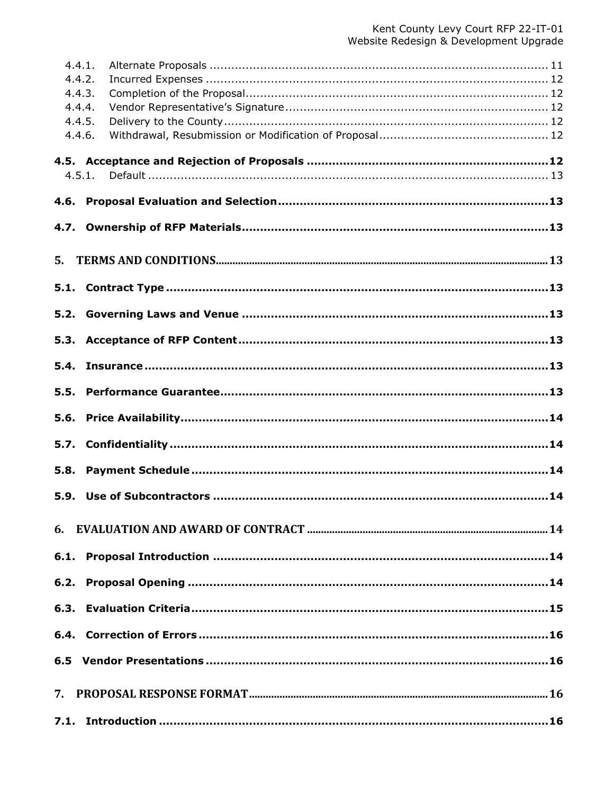| 4.4.1. |        |  |
|--------|--------|--|
| 4.4.2. |        |  |
| 4.4.3. |        |  |
| 4.4.4. |        |  |
| 4.4.5. |        |  |
| 4.4.6. |        |  |
|        | 4.5.1. |  |
|        |        |  |
|        |        |  |
|        |        |  |
|        |        |  |
|        |        |  |
| 5.     |        |  |
|        |        |  |
|        |        |  |
| 5.2.   |        |  |
| 5.3.   |        |  |
|        |        |  |
| 5.4.   |        |  |
|        |        |  |
| 5.5.   |        |  |
| 5.6.   |        |  |
|        |        |  |
| 5.7.   |        |  |
| 5.8.   |        |  |
|        |        |  |
|        |        |  |
|        |        |  |
|        |        |  |
|        |        |  |
|        |        |  |
|        |        |  |
|        |        |  |
|        |        |  |
|        |        |  |
|        |        |  |
|        |        |  |
|        |        |  |
| 7.     |        |  |
|        |        |  |
|        |        |  |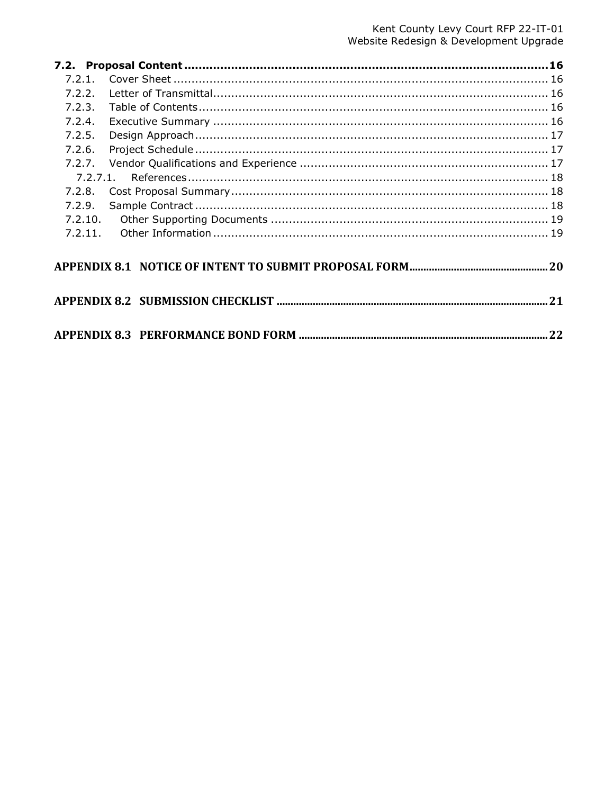| 7.2.2.  |  |
|---------|--|
| 7.2.3.  |  |
| 7.2.4.  |  |
| 7.2.5.  |  |
| 7.2.6.  |  |
| 7.2.7.  |  |
|         |  |
| 7.2.8.  |  |
| 7.2.9.  |  |
| 7.2.10. |  |
|         |  |
|         |  |
|         |  |
|         |  |
|         |  |
|         |  |
|         |  |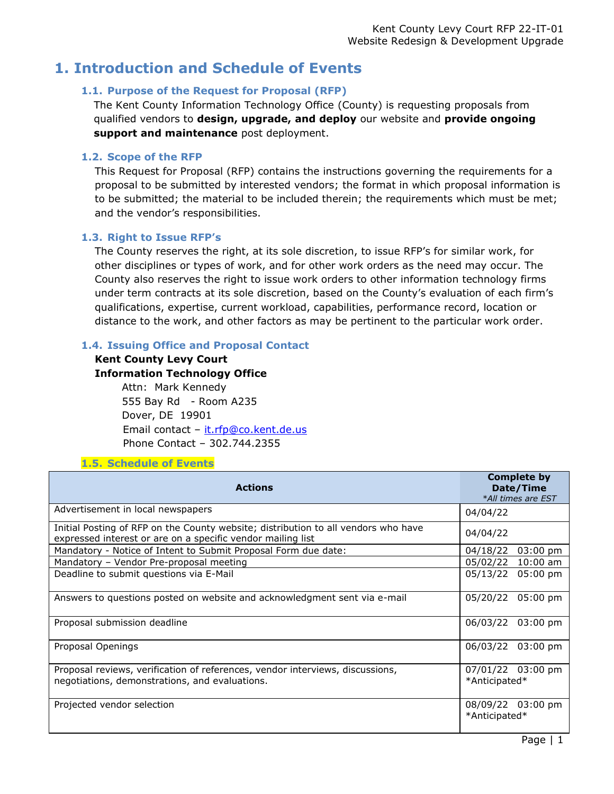## <span id="page-4-1"></span><span id="page-4-0"></span>**1. Introduction and Schedule of Events**

## **1.1. Purpose of the Request for Proposal (RFP)**

The Kent County Information Technology Office (County) is requesting proposals from qualified vendors to **design, upgrade, and deploy** our website and **provide ongoing support and maintenance** post deployment.

## <span id="page-4-2"></span>**1.2. Scope of the RFP**

This Request for Proposal (RFP) contains the instructions governing the requirements for a proposal to be submitted by interested vendors; the format in which proposal information is to be submitted; the material to be included therein; the requirements which must be met; and the vendor's responsibilities.

## <span id="page-4-3"></span>**1.3. Right to Issue RFP's**

The County reserves the right, at its sole discretion, to issue RFP's for similar work, for other disciplines or types of work, and for other work orders as the need may occur. The County also reserves the right to issue work orders to other information technology firms under term contracts at its sole discretion, based on the County's evaluation of each firm's qualifications, expertise, current workload, capabilities, performance record, location or distance to the work, and other factors as may be pertinent to the particular work order.

## <span id="page-4-4"></span>**1.4. Issuing Office and Proposal Contact**

## **Kent County Levy Court Information Technology Office**

Attn: Mark Kennedy 555 Bay Rd - Room A235 Dover, DE 19901 Email contact - [it.rfp@co.kent.de.us](mailto:it.rfp@co.kent.de.us) Phone Contact – 302.744.2355

## **1.5. Schedule of Events**

<span id="page-4-5"></span>

| <b>Actions</b>                                                                                                                                    | <b>Complete by</b><br>Date/Time<br>*All times are EST |
|---------------------------------------------------------------------------------------------------------------------------------------------------|-------------------------------------------------------|
| Advertisement in local newspapers                                                                                                                 | 04/04/22                                              |
| Initial Posting of RFP on the County website; distribution to all vendors who have<br>expressed interest or are on a specific vendor mailing list | 04/04/22                                              |
| Mandatory - Notice of Intent to Submit Proposal Form due date:                                                                                    | 04/18/22<br>$03:00 \text{ pm}$                        |
| Mandatory - Vendor Pre-proposal meeting                                                                                                           | 05/02/22 10:00 am                                     |
| Deadline to submit questions via E-Mail                                                                                                           | 05/13/22 05:00 pm                                     |
| Answers to questions posted on website and acknowledgment sent via e-mail                                                                         | 05/20/22<br>05:00 pm                                  |
| Proposal submission deadline                                                                                                                      | 06/03/22 03:00 pm                                     |
| Proposal Openings                                                                                                                                 | 06/03/22 03:00 pm                                     |
| Proposal reviews, verification of references, vendor interviews, discussions,<br>negotiations, demonstrations, and evaluations.                   | 07/01/22 03:00 pm<br>*Anticipated*                    |
| Projected vendor selection                                                                                                                        | 08/09/22 03:00 pm<br>*Anticipated*                    |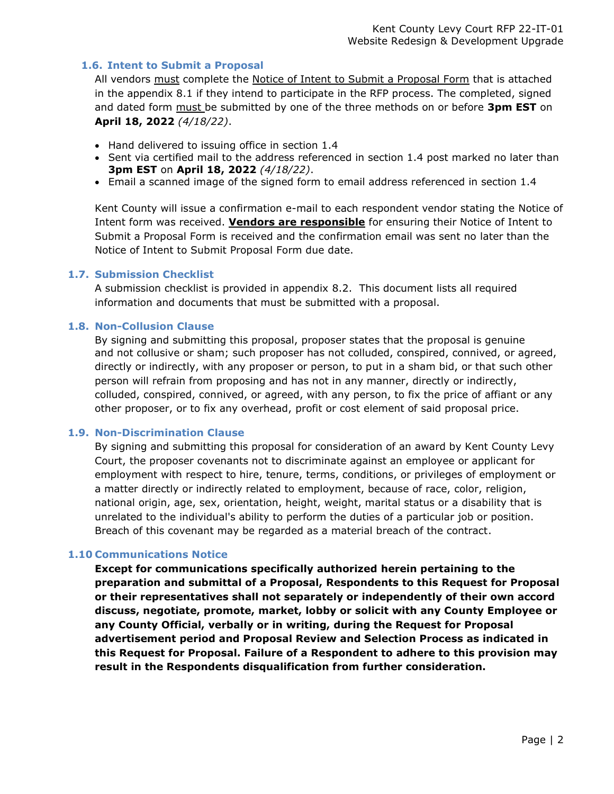#### <span id="page-5-0"></span>**1.6. Intent to Submit a Proposal**

All vendors must complete the Notice of Intent to Submit a Proposal Form that is attached in the appendix 8.1 if they intend to participate in the RFP process. The completed, signed and dated form must be submitted by one of the three methods on or before **3pm EST** on **April 18, 2022** *(4/18/22)*.

- Hand delivered to issuing office in section 1.4
- Sent via certified mail to the address referenced in section 1.4 post marked no later than **3pm EST** on **April 18, 2022** *(4/18/22)*.
- Email a scanned image of the signed form to email address referenced in section 1.4

Kent County will issue a confirmation e-mail to each respondent vendor stating the Notice of Intent form was received. **Vendors are responsible** for ensuring their Notice of Intent to Submit a Proposal Form is received and the confirmation email was sent no later than the Notice of Intent to Submit Proposal Form due date.

#### <span id="page-5-1"></span>**1.7. Submission Checklist**

A submission checklist is provided in appendix 8.2. This document lists all required information and documents that must be submitted with a proposal.

#### <span id="page-5-2"></span>**1.8. Non-Collusion Clause**

By signing and submitting this proposal, proposer states that the proposal is genuine and not collusive or sham; such proposer has not colluded, conspired, connived, or agreed, directly or indirectly, with any proposer or person, to put in a sham bid, or that such other person will refrain from proposing and has not in any manner, directly or indirectly, colluded, conspired, connived, or agreed, with any person, to fix the price of affiant or any other proposer, or to fix any overhead, profit or cost element of said proposal price.

#### <span id="page-5-3"></span>**1.9. Non-Discrimination Clause**

By signing and submitting this proposal for consideration of an award by Kent County Levy Court, the proposer covenants not to discriminate against an employee or applicant for employment with respect to hire, tenure, terms, conditions, or privileges of employment or a matter directly or indirectly related to employment, because of race, color, religion, national origin, age, sex, orientation, height, weight, marital status or a disability that is unrelated to the individual's ability to perform the duties of a particular job or position. Breach of this covenant may be regarded as a material breach of the contract.

#### <span id="page-5-4"></span>**1.10 Communications Notice**

**Except for communications specifically authorized herein pertaining to the preparation and submittal of a Proposal, Respondents to this Request for Proposal or their representatives shall not separately or independently of their own accord discuss, negotiate, promote, market, lobby or solicit with any County Employee or any County Official, verbally or in writing, during the Request for Proposal advertisement period and Proposal Review and Selection Process as indicated in this Request for Proposal. Failure of a Respondent to adhere to this provision may result in the Respondents disqualification from further consideration.**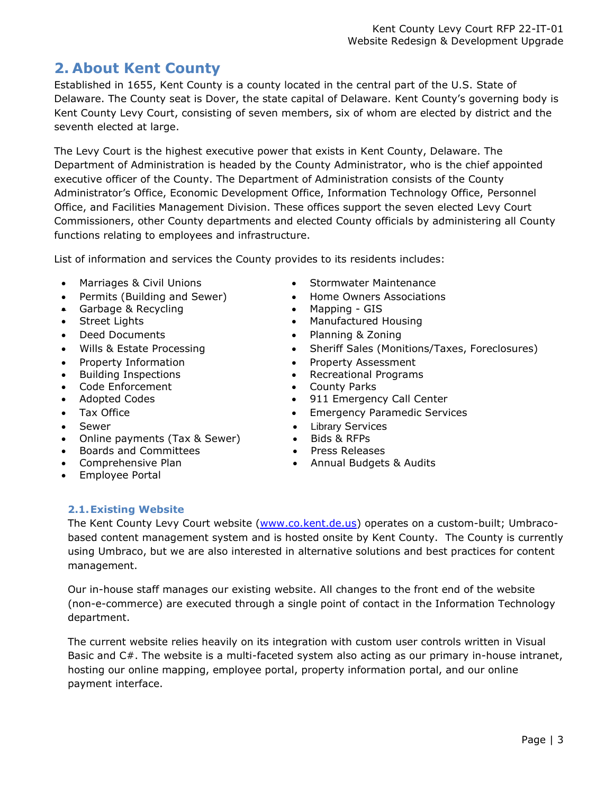## <span id="page-6-0"></span>**2. About Kent County**

Established in 1655, Kent County is a county located in the central part of the U.S. State of Delaware. The County seat is Dover, the state capital of Delaware. Kent County's governing body is Kent County Levy Court, consisting of seven members, six of whom are elected by district and the seventh elected at large.

The Levy Court is the highest executive power that exists in Kent County, Delaware. The Department of Administration is headed by the County Administrator, who is the chief appointed executive officer of the County. The Department of Administration consists of the County Administrator's Office, Economic Development Office, Information Technology Office, Personnel Office, and Facilities Management Division. These offices support the seven elected Levy Court Commissioners, other County departments and elected County officials by administering all County functions relating to employees and infrastructure.

List of information and services the County provides to its residents includes:

- Marriages & Civil Unions Stormwater Maintenance
- Permits (Building and Sewer) Home Owners Associations
- Garbage & Recycling Mapping GIS
- 
- 
- 
- 
- Building Inspections
- Code Enforcement
- 
- 
- **Sewer**
- Online payments (Tax & Sewer)
- Boards and Committees
- Comprehensive Plan
- Employee Portal
- 
- 
- 
- Street Lights Manufactured Housing
- Deed Documents Planning & Zoning
- Wills & Estate Processing Sheriff Sales (Monitions/Taxes, Foreclosures)
- Property Information Property Assessment
	- Recreational Programs
	- County Parks
- Adopted Codes 911 Emergency Call Center
- Tax Office Case Contract Emergency Paramedic Services
	- [Library](http://www.co.kent.de.us/kc-library.aspx) Services
	- Bids & RFPs
	- Press Releases
	- Annual Budgets & Audits

## <span id="page-6-1"></span>**2.1.Existing Website**

The Kent County Levy Court website [\(www.co.kent.de.us\)](file://///KCDP-1/KCDATA/DEPARTME/CountyInfo/ITRFP) operates on a custom-built; Umbracobased content management system and is hosted onsite by Kent County. The County is currently using Umbraco, but we are also interested in alternative solutions and best practices for content management.

Our in-house staff manages our existing website. All changes to the front end of the website (non-e-commerce) are executed through a single point of contact in the Information Technology department.

The current website relies heavily on its integration with custom user controls written in Visual Basic and C#. The website is a multi-faceted system also acting as our primary in-house intranet, hosting our online mapping, employee portal, property information portal, and our online payment interface.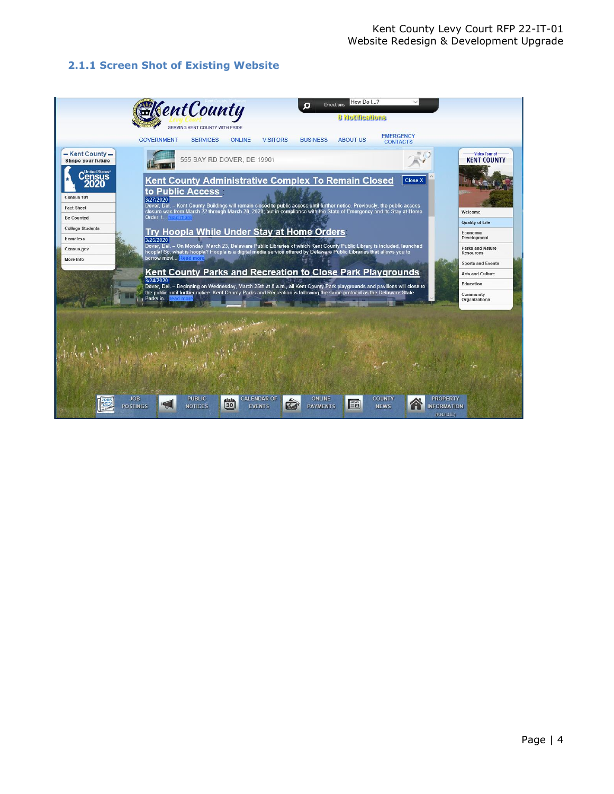## <span id="page-7-0"></span>**2.1.1 Screen Shot of Existing Website**

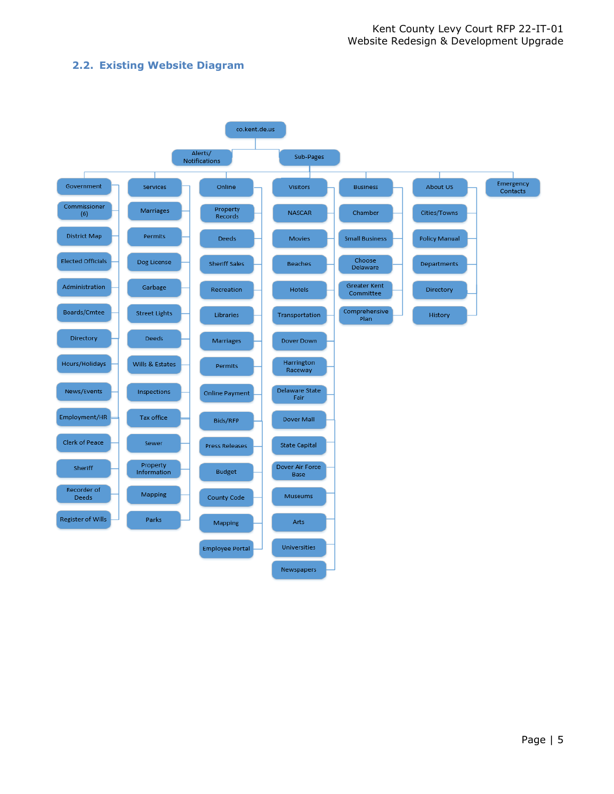## <span id="page-8-0"></span>**2.2. Existing Website Diagram**

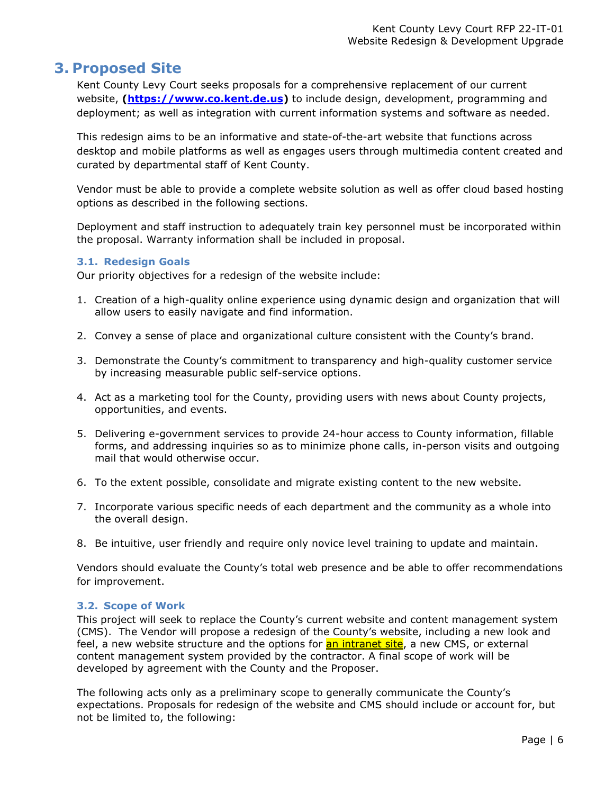## <span id="page-9-0"></span>**3. Proposed Site**

Kent County Levy Court seeks proposals for a comprehensive replacement of our current website, **[\(https://www.co.kent.de.us\)](https://www.co.kent.de.us/)** to include design, development, programming and deployment; as well as integration with current information systems and software as needed.

This redesign aims to be an informative and state-of-the-art website that functions across desktop and mobile platforms as well as engages users through multimedia content created and curated by departmental staff of Kent County.

Vendor must be able to provide a complete website solution as well as offer cloud based hosting options as described in the following sections.

Deployment and staff instruction to adequately train key personnel must be incorporated within the proposal. Warranty information shall be included in proposal.

#### <span id="page-9-1"></span>**3.1. Redesign Goals**

Our priority objectives for a redesign of the website include:

- 1. Creation of a high-quality online experience using dynamic design and organization that will allow users to easily navigate and find information.
- 2. Convey a sense of place and organizational culture consistent with the County's brand.
- 3. Demonstrate the County's commitment to transparency and high-quality customer service by increasing measurable public self-service options.
- 4. Act as a marketing tool for the County, providing users with news about County projects, opportunities, and events.
- 5. Delivering e-government services to provide 24-hour access to County information, fillable forms, and addressing inquiries so as to minimize phone calls, in-person visits and outgoing mail that would otherwise occur.
- 6. To the extent possible, consolidate and migrate existing content to the new website.
- 7. Incorporate various specific needs of each department and the community as a whole into the overall design.
- 8. Be intuitive, user friendly and require only novice level training to update and maintain.

Vendors should evaluate the County's total web presence and be able to offer recommendations for improvement.

#### <span id="page-9-2"></span>**3.2. Scope of Work**

This project will seek to replace the County's current website and content management system (CMS). The Vendor will propose a redesign of the County's website, including a new look and feel, a new website structure and the options for **an intranet site**, a new CMS, or external content management system provided by the contractor. A final scope of work will be developed by agreement with the County and the Proposer.

The following acts only as a preliminary scope to generally communicate the County's expectations. Proposals for redesign of the website and CMS should include or account for, but not be limited to, the following: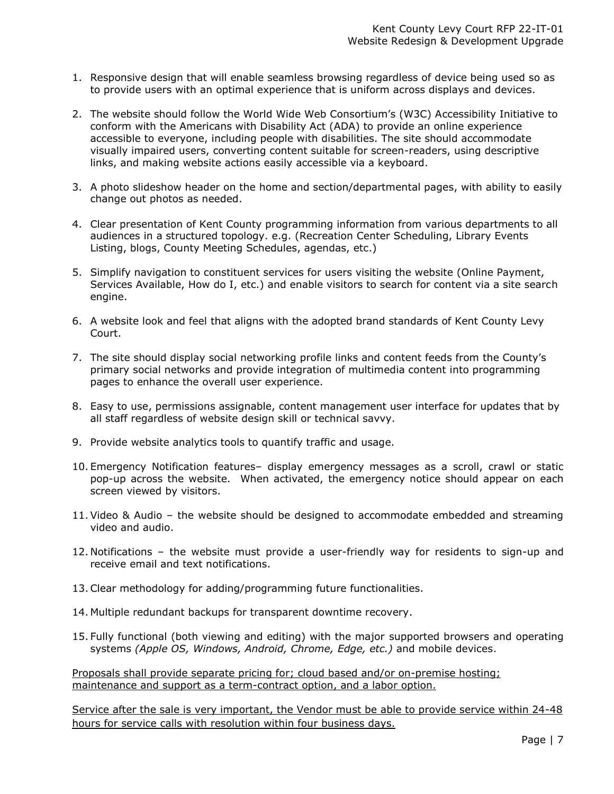- 1. Responsive design that will enable seamless browsing regardless of device being used so as to provide users with an optimal experience that is uniform across displays and devices.
- 2. The website should follow the World Wide Web Consortium's (W3C) Accessibility Initiative to conform with the Americans with Disability Act (ADA) to provide an online experience accessible to everyone, including people with disabilities. The site should accommodate visually impaired users, converting content suitable for screen-readers, using descriptive links, and making website actions easily accessible via a keyboard.
- 3. A photo slideshow header on the home and section/departmental pages, with ability to easily change out photos as needed.
- 4. Clear presentation of Kent County programming information from various departments to all audiences in a structured topology. e.g. (Recreation Center Scheduling, Library Events Listing, blogs, County Meeting Schedules, agendas, etc.)
- 5. Simplify navigation to constituent services for users visiting the website (Online Payment, Services Available, How do I, etc.) and enable visitors to search for content via a site search engine.
- 6. A website look and feel that aligns with the adopted brand standards of Kent County Levy Court.
- 7. The site should display social networking profile links and content feeds from the County's primary social networks and provide integration of multimedia content into programming pages to enhance the overall user experience.
- 8. Easy to use, permissions assignable, content management user interface for updates that by all staff regardless of website design skill or technical savvy.
- 9. Provide website analytics tools to quantify traffic and usage.
- 10. Emergency Notification features– display emergency messages as a scroll, crawl or static pop-up across the website. When activated, the emergency notice should appear on each screen viewed by visitors.
- 11.Video & Audio the website should be designed to accommodate embedded and streaming video and audio.
- 12. Notifications the website must provide a user-friendly way for residents to sign-up and receive email and text notifications.
- 13.Clear methodology for adding/programming future functionalities.
- 14. Multiple redundant backups for transparent downtime recovery.
- 15. Fully functional (both viewing and editing) with the major supported browsers and operating systems *(Apple OS, Windows, Android, Chrome, Edge, etc.)* and mobile devices.

Proposals shall provide separate pricing for; cloud based and/or on-premise hosting; maintenance and support as a term-contract option, and a labor option.

Service after the sale is very important, the Vendor must be able to provide service within 24-48 hours for service calls with resolution within four business days.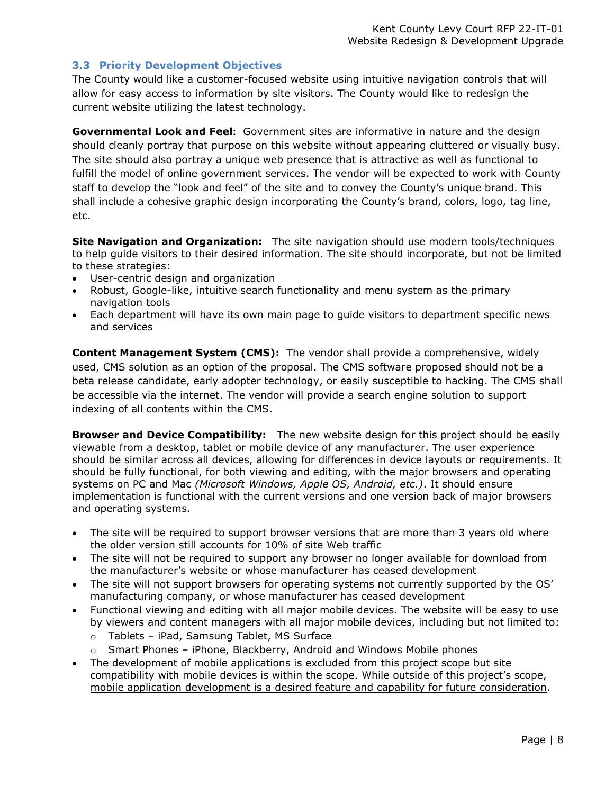### <span id="page-11-0"></span>**3.3 Priority Development Objectives**

The County would like a customer-focused website using intuitive navigation controls that will allow for easy access to information by site visitors. The County would like to redesign the current website utilizing the latest technology.

**Governmental Look and Feel:** Government sites are informative in nature and the design should cleanly portray that purpose on this website without appearing cluttered or visually busy. The site should also portray a unique web presence that is attractive as well as functional to fulfill the model of online government services. The vendor will be expected to work with County staff to develop the "look and feel" of the site and to convey the County's unique brand. This shall include a cohesive graphic design incorporating the County's brand, colors, logo, tag line, etc.

**Site Navigation and Organization:** The site navigation should use modern tools/techniques to help guide visitors to their desired information. The site should incorporate, but not be limited to these strategies:

- User-centric design and organization
- Robust, Google-like, intuitive search functionality and menu system as the primary navigation tools
- Each department will have its own main page to guide visitors to department specific news and services

**Content Management System (CMS):** The vendor shall provide a comprehensive, widely used, CMS solution as an option of the proposal. The CMS software proposed should not be a beta release candidate, early adopter technology, or easily susceptible to hacking. The CMS shall be accessible via the internet. The vendor will provide a search engine solution to support indexing of all contents within the CMS.

**Browser and Device Compatibility:** The new website design for this project should be easily viewable from a desktop, tablet or mobile device of any manufacturer. The user experience should be similar across all devices, allowing for differences in device layouts or requirements. It should be fully functional, for both viewing and editing, with the major browsers and operating systems on PC and Mac *(Microsoft Windows, Apple OS, Android, etc.)*. It should ensure implementation is functional with the current versions and one version back of major browsers and operating systems.

- The site will be required to support browser versions that are more than 3 years old where the older version still accounts for 10% of site Web traffic
- The site will not be required to support any browser no longer available for download from the manufacturer's website or whose manufacturer has ceased development
- The site will not support browsers for operating systems not currently supported by the OS' manufacturing company, or whose manufacturer has ceased development
- Functional viewing and editing with all major mobile devices. The website will be easy to use by viewers and content managers with all major mobile devices, including but not limited to:
	- o Tablets iPad, Samsung Tablet, MS Surface
	- $\circ$  Smart Phones iPhone, Blackberry, Android and Windows Mobile phones
- The development of mobile applications is excluded from this project scope but site compatibility with mobile devices is within the scope. While outside of this project's scope, mobile application development is a desired feature and capability for future consideration.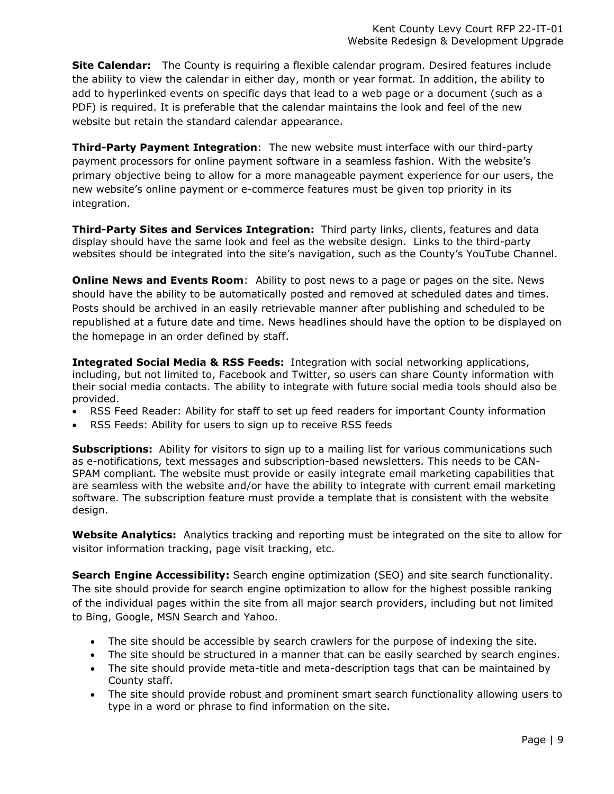**Site Calendar:** The County is requiring a flexible calendar program. Desired features include the ability to view the calendar in either day, month or year format. In addition, the ability to add to hyperlinked events on specific days that lead to a web page or a document (such as a PDF) is required. It is preferable that the calendar maintains the look and feel of the new website but retain the standard calendar appearance.

**Third-Party Payment Integration**: The new website must interface with our third-party payment processors for online payment software in a seamless fashion. With the website's primary objective being to allow for a more manageable payment experience for our users, the new website's online payment or e-commerce features must be given top priority in its integration.

**Third-Party Sites and Services Integration:** Third party links, clients, features and data display should have the same look and feel as the website design. Links to the third-party websites should be integrated into the site's navigation, such as the County's YouTube Channel.

**Online News and Events Room**: Ability to post news to a page or pages on the site. News should have the ability to be automatically posted and removed at scheduled dates and times. Posts should be archived in an easily retrievable manner after publishing and scheduled to be republished at a future date and time. News headlines should have the option to be displayed on the homepage in an order defined by staff.

**Integrated Social Media & RSS Feeds:** Integration with social networking applications, including, but not limited to, Facebook and Twitter, so users can share County information with their social media contacts. The ability to integrate with future social media tools should also be provided.

- RSS Feed Reader: Ability for staff to set up feed readers for important County information
- RSS Feeds: Ability for users to sign up to receive RSS feeds

**Subscriptions:** Ability for visitors to sign up to a mailing list for various communications such as e-notifications, text messages and subscription-based newsletters. This needs to be CAN-SPAM compliant. The website must provide or easily integrate email marketing capabilities that are seamless with the website and/or have the ability to integrate with current email marketing software. The subscription feature must provide a template that is consistent with the website design.

**Website Analytics:** Analytics tracking and reporting must be integrated on the site to allow for visitor information tracking, page visit tracking, etc.

**Search Engine Accessibility:** Search engine optimization (SEO) and site search functionality. The site should provide for search engine optimization to allow for the highest possible ranking of the individual pages within the site from all major search providers, including but not limited to Bing, Google, MSN Search and Yahoo.

- The site should be accessible by search crawlers for the purpose of indexing the site.
- The site should be structured in a manner that can be easily searched by search engines.
- The site should provide meta-title and meta-description tags that can be maintained by County staff.
- The site should provide robust and prominent smart search functionality allowing users to type in a word or phrase to find information on the site.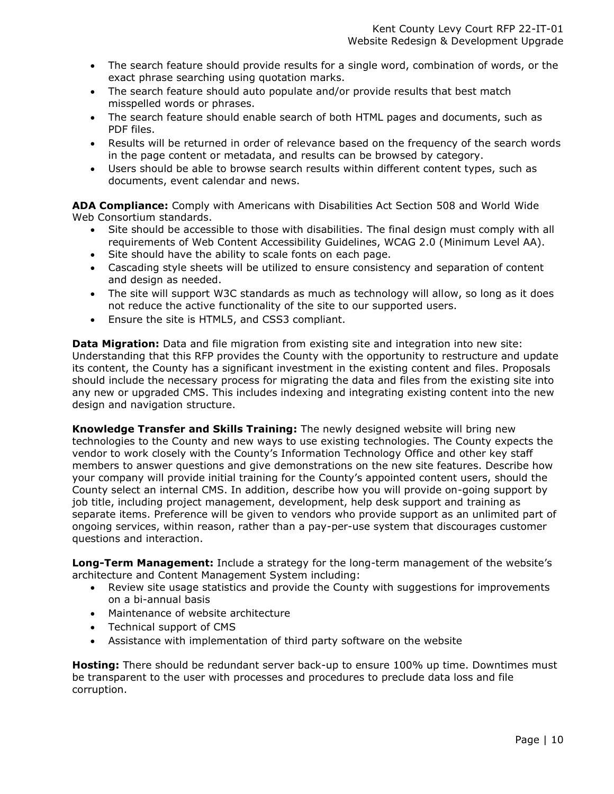- The search feature should provide results for a single word, combination of words, or the exact phrase searching using quotation marks.
- The search feature should auto populate and/or provide results that best match misspelled words or phrases.
- The search feature should enable search of both HTML pages and documents, such as PDF files.
- Results will be returned in order of relevance based on the frequency of the search words in the page content or metadata, and results can be browsed by category.
- Users should be able to browse search results within different content types, such as documents, event calendar and news.

**ADA Compliance:** Comply with Americans with Disabilities Act Section 508 and World Wide Web Consortium standards.

- Site should be accessible to those with disabilities. The final design must comply with all requirements of Web Content Accessibility Guidelines, WCAG 2.0 (Minimum Level AA).
- Site should have the ability to scale fonts on each page.
- Cascading style sheets will be utilized to ensure consistency and separation of content and design as needed.
- The site will support W3C standards as much as technology will allow, so long as it does not reduce the active functionality of the site to our supported users.
- Ensure the site is HTML5, and CSS3 compliant.

**Data Migration:** Data and file migration from existing site and integration into new site: Understanding that this RFP provides the County with the opportunity to restructure and update its content, the County has a significant investment in the existing content and files. Proposals should include the necessary process for migrating the data and files from the existing site into any new or upgraded CMS. This includes indexing and integrating existing content into the new design and navigation structure.

**Knowledge Transfer and Skills Training:** The newly designed website will bring new technologies to the County and new ways to use existing technologies. The County expects the vendor to work closely with the County's Information Technology Office and other key staff members to answer questions and give demonstrations on the new site features. Describe how your company will provide initial training for the County's appointed content users, should the County select an internal CMS. In addition, describe how you will provide on-going support by job title, including project management, development, help desk support and training as separate items. Preference will be given to vendors who provide support as an unlimited part of ongoing services, within reason, rather than a pay-per-use system that discourages customer questions and interaction.

**Long-Term Management:** Include a strategy for the long-term management of the website's architecture and Content Management System including:

- Review site usage statistics and provide the County with suggestions for improvements on a bi-annual basis
- Maintenance of website architecture
- Technical support of CMS
- Assistance with implementation of third party software on the website

**Hosting:** There should be redundant server back-up to ensure 100% up time. Downtimes must be transparent to the user with processes and procedures to preclude data loss and file corruption.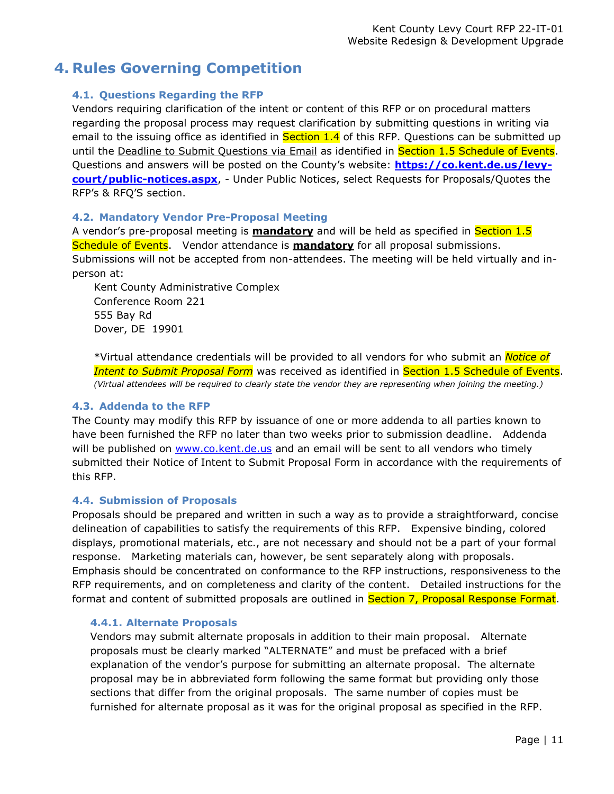## <span id="page-14-1"></span><span id="page-14-0"></span>**4. Rules Governing Competition**

## **4.1. Questions Regarding the RFP**

Vendors requiring clarification of the intent or content of this RFP or on procedural matters regarding the proposal process may request clarification by submitting questions in writing via email to the issuing office as identified in **Section 1.4** of this RFP. Questions can be submitted up until the Deadline to Submit Questions via Email as identified in Section 1.5 Schedule of Events. Questions and answers will be posted on the County's website: **[https://co.kent.de.us/levy](https://co.kent.de.us/levy-court/public-notices.aspx)[court/public-notices.aspx](https://co.kent.de.us/levy-court/public-notices.aspx)**, - Under Public Notices, select Requests for Proposals/Quotes the RFP's & RFQ'S section.

#### <span id="page-14-2"></span>**4.2. Mandatory Vendor Pre-Proposal Meeting**

A vendor's pre-proposal meeting is **mandatory** and will be held as specified in Section 1.5 Schedule of Events. Vendor attendance is **mandatory** for all proposal submissions. Submissions will not be accepted from non-attendees. The meeting will be held virtually and inperson at:

Kent County Administrative Complex Conference Room 221 555 Bay Rd Dover, DE 19901

\*Virtual attendance credentials will be provided to all vendors for who submit an *Notice of*  **Intent to Submit Proposal Form** was received as identified in Section 1.5 Schedule of Events. *(Virtual attendees will be required to clearly state the vendor they are representing when joining the meeting.)*

#### <span id="page-14-3"></span>**4.3. Addenda to the RFP**

The County may modify this RFP by issuance of one or more addenda to all parties known to have been furnished the RFP no later than two weeks prior to submission deadline. Addenda will be published on [www.co.kent.de.us](http://www.co.kent.de.us/) and an email will be sent to all vendors who timely submitted their Notice of Intent to Submit Proposal Form in accordance with the requirements of this RFP.

#### <span id="page-14-4"></span>**4.4. Submission of Proposals**

Proposals should be prepared and written in such a way as to provide a straightforward, concise delineation of capabilities to satisfy the requirements of this RFP. Expensive binding, colored displays, promotional materials, etc., are not necessary and should not be a part of your formal response. Marketing materials can, however, be sent separately along with proposals. Emphasis should be concentrated on conformance to the RFP instructions, responsiveness to the RFP requirements, and on completeness and clarity of the content. Detailed instructions for the format and content of submitted proposals are outlined in Section 7, Proposal Response Format.

#### <span id="page-14-5"></span>**4.4.1. Alternate Proposals**

Vendors may submit alternate proposals in addition to their main proposal. Alternate proposals must be clearly marked "ALTERNATE" and must be prefaced with a brief explanation of the vendor's purpose for submitting an alternate proposal. The alternate proposal may be in abbreviated form following the same format but providing only those sections that differ from the original proposals. The same number of copies must be furnished for alternate proposal as it was for the original proposal as specified in the RFP.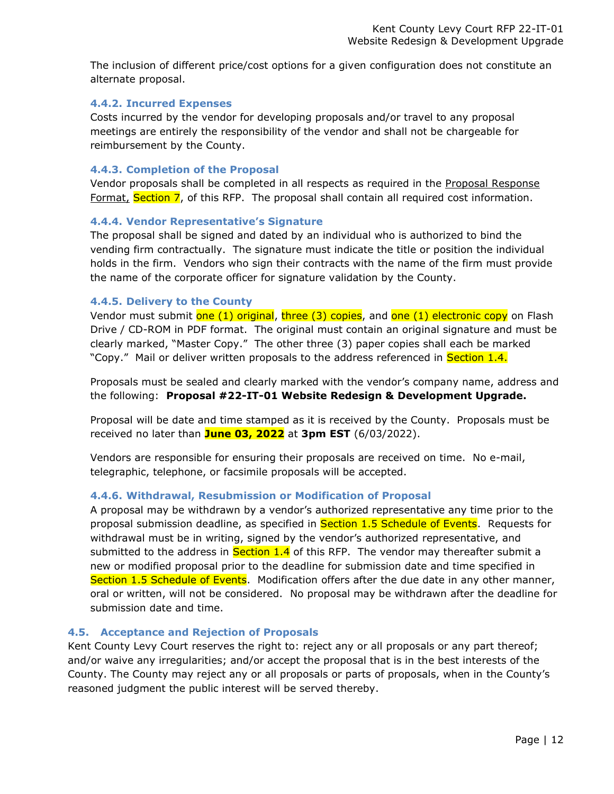The inclusion of different price/cost options for a given configuration does not constitute an alternate proposal.

#### <span id="page-15-0"></span>**4.4.2. Incurred Expenses**

Costs incurred by the vendor for developing proposals and/or travel to any proposal meetings are entirely the responsibility of the vendor and shall not be chargeable for reimbursement by the County.

#### <span id="page-15-1"></span>**4.4.3. Completion of the Proposal**

Vendor proposals shall be completed in all respects as required in the Proposal Response Format, Section 7, of this RFP. The proposal shall contain all required cost information.

#### <span id="page-15-2"></span>**4.4.4. Vendor Representative's Signature**

The proposal shall be signed and dated by an individual who is authorized to bind the vending firm contractually. The signature must indicate the title or position the individual holds in the firm. Vendors who sign their contracts with the name of the firm must provide the name of the corporate officer for signature validation by the County.

#### <span id="page-15-3"></span>**4.4.5. Delivery to the County**

Vendor must submit one (1) original, three (3) copies, and one (1) electronic copy on Flash Drive / CD-ROM in PDF format. The original must contain an original signature and must be clearly marked, "Master Copy." The other three (3) paper copies shall each be marked "Copy." Mail or deliver written proposals to the address referenced in **Section 1.4.** 

Proposals must be sealed and clearly marked with the vendor's company name, address and the following: **Proposal #22-IT-01 Website Redesign & Development Upgrade.**

Proposal will be date and time stamped as it is received by the County. Proposals must be received no later than **June 03, 2022** at **3pm EST** (6/03/2022).

Vendors are responsible for ensuring their proposals are received on time. No e-mail, telegraphic, telephone, or facsimile proposals will be accepted.

#### <span id="page-15-4"></span>**4.4.6. Withdrawal, Resubmission or Modification of Proposal**

A proposal may be withdrawn by a vendor's authorized representative any time prior to the proposal submission deadline, as specified in Section 1.5 Schedule of Events. Requests for withdrawal must be in writing, signed by the vendor's authorized representative, and submitted to the address in **Section 1.4** of this RFP. The vendor may thereafter submit a new or modified proposal prior to the deadline for submission date and time specified in Section 1.5 Schedule of Events. Modification offers after the due date in any other manner, oral or written, will not be considered. No proposal may be withdrawn after the deadline for submission date and time.

#### <span id="page-15-5"></span>**4.5. Acceptance and Rejection of Proposals**

Kent County Levy Court reserves the right to: reject any or all proposals or any part thereof; and/or waive any irregularities; and/or accept the proposal that is in the best interests of the County. The County may reject any or all proposals or parts of proposals, when in the County's reasoned judgment the public interest will be served thereby.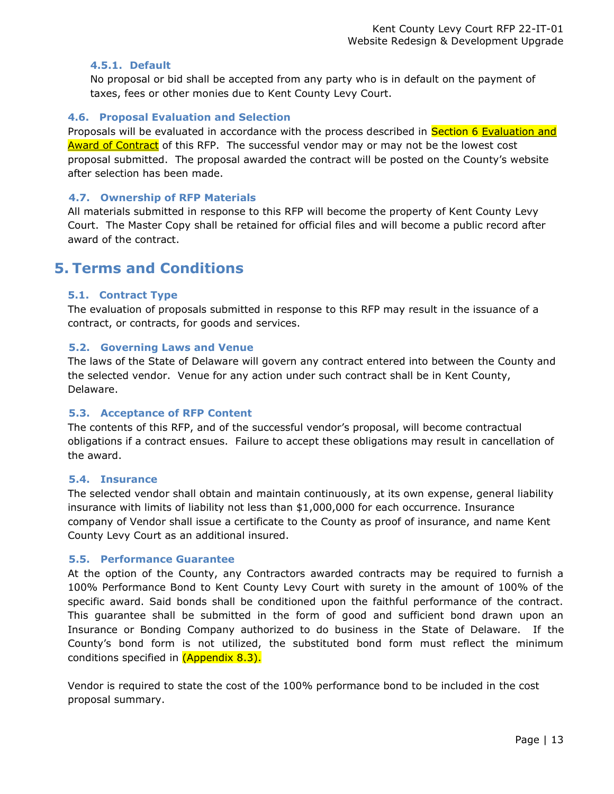#### <span id="page-16-0"></span>**4.5.1. Default**

No proposal or bid shall be accepted from any party who is in default on the payment of taxes, fees or other monies due to Kent County Levy Court.

#### <span id="page-16-1"></span>**4.6. Proposal Evaluation and Selection**

Proposals will be evaluated in accordance with the process described in Section 6 Evaluation and Award of Contract of this RFP. The successful vendor may or may not be the lowest cost proposal submitted. The proposal awarded the contract will be posted on the County's website after selection has been made.

#### <span id="page-16-2"></span>**4.7. Ownership of RFP Materials**

All materials submitted in response to this RFP will become the property of Kent County Levy Court. The Master Copy shall be retained for official files and will become a public record after award of the contract.

## <span id="page-16-4"></span><span id="page-16-3"></span>**5. Terms and Conditions**

#### **5.1. Contract Type**

The evaluation of proposals submitted in response to this RFP may result in the issuance of a contract, or contracts, for goods and services.

### <span id="page-16-5"></span>**5.2. Governing Laws and Venue**

The laws of the State of Delaware will govern any contract entered into between the County and the selected vendor. Venue for any action under such contract shall be in Kent County, Delaware.

### <span id="page-16-6"></span>**5.3. Acceptance of RFP Content**

The contents of this RFP, and of the successful vendor's proposal, will become contractual obligations if a contract ensues. Failure to accept these obligations may result in cancellation of the award.

#### <span id="page-16-7"></span>**5.4. Insurance**

The selected vendor shall obtain and maintain continuously, at its own expense, general liability insurance with limits of liability not less than \$1,000,000 for each occurrence. Insurance company of Vendor shall issue a certificate to the County as proof of insurance, and name Kent County Levy Court as an additional insured.

#### <span id="page-16-8"></span>**5.5. Performance Guarantee**

At the option of the County, any Contractors awarded contracts may be required to furnish a 100% Performance Bond to Kent County Levy Court with surety in the amount of 100% of the specific award. Said bonds shall be conditioned upon the faithful performance of the contract. This guarantee shall be submitted in the form of good and sufficient bond drawn upon an Insurance or Bonding Company authorized to do business in the State of Delaware. If the County's bond form is not utilized, the substituted bond form must reflect the minimum conditions specified in (Appendix 8.3).

Vendor is required to state the cost of the 100% performance bond to be included in the cost proposal summary.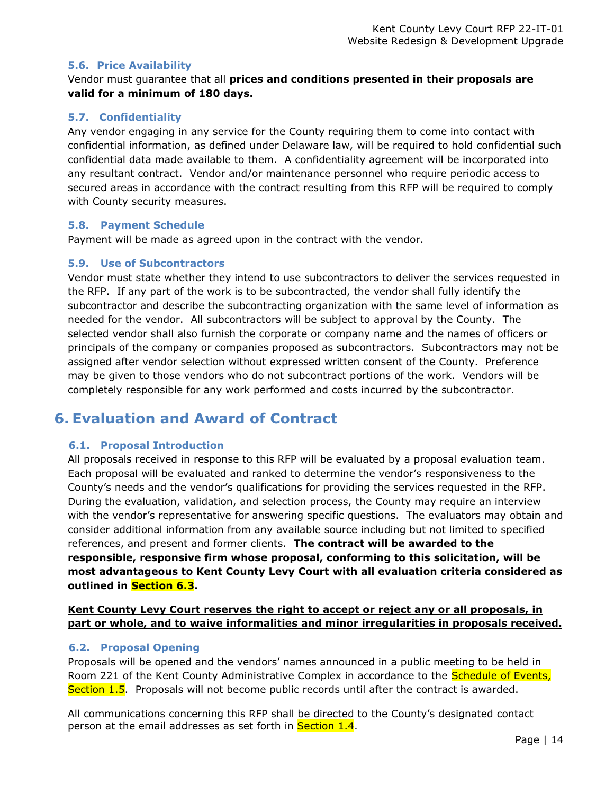#### <span id="page-17-0"></span>**5.6. Price Availability**

Vendor must guarantee that all **prices and conditions presented in their proposals are valid for a minimum of 180 days.**

### <span id="page-17-1"></span>**5.7. Confidentiality**

Any vendor engaging in any service for the County requiring them to come into contact with confidential information, as defined under Delaware law, will be required to hold confidential such confidential data made available to them. A confidentiality agreement will be incorporated into any resultant contract. Vendor and/or maintenance personnel who require periodic access to secured areas in accordance with the contract resulting from this RFP will be required to comply with County security measures.

#### <span id="page-17-2"></span>**5.8. Payment Schedule**

Payment will be made as agreed upon in the contract with the vendor.

#### <span id="page-17-3"></span>**5.9. Use of Subcontractors**

Vendor must state whether they intend to use subcontractors to deliver the services requested in the RFP. If any part of the work is to be subcontracted, the vendor shall fully identify the subcontractor and describe the subcontracting organization with the same level of information as needed for the vendor. All subcontractors will be subject to approval by the County. The selected vendor shall also furnish the corporate or company name and the names of officers or principals of the company or companies proposed as subcontractors. Subcontractors may not be assigned after vendor selection without expressed written consent of the County. Preference may be given to those vendors who do not subcontract portions of the work. Vendors will be completely responsible for any work performed and costs incurred by the subcontractor.

## <span id="page-17-4"></span>**6. Evaluation and Award of Contract**

## <span id="page-17-5"></span>**6.1. Proposal Introduction**

All proposals received in response to this RFP will be evaluated by a proposal evaluation team. Each proposal will be evaluated and ranked to determine the vendor's responsiveness to the County's needs and the vendor's qualifications for providing the services requested in the RFP. During the evaluation, validation, and selection process, the County may require an interview with the vendor's representative for answering specific questions. The evaluators may obtain and consider additional information from any available source including but not limited to specified references, and present and former clients. **The contract will be awarded to the responsible, responsive firm whose proposal, conforming to this solicitation, will be most advantageous to Kent County Levy Court with all evaluation criteria considered as outlined in Section 6.3.**

## **Kent County Levy Court reserves the right to accept or reject any or all proposals, in part or whole, and to waive informalities and minor irregularities in proposals received.**

## <span id="page-17-6"></span>**6.2. Proposal Opening**

Proposals will be opened and the vendors' names announced in a public meeting to be held in Room 221 of the Kent County Administrative Complex in accordance to the **Schedule of Events,** Section 1.5. Proposals will not become public records until after the contract is awarded.

All communications concerning this RFP shall be directed to the County's designated contact person at the email addresses as set forth in Section 1.4.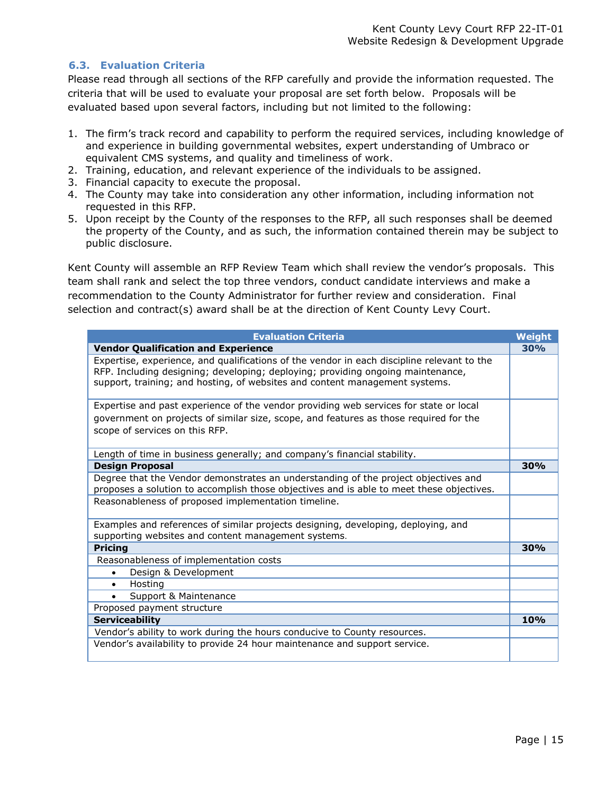### <span id="page-18-0"></span>**6.3. Evaluation Criteria**

Please read through all sections of the RFP carefully and provide the information requested. The criteria that will be used to evaluate your proposal are set forth below. Proposals will be evaluated based upon several factors, including but not limited to the following:

- 1. The firm's track record and capability to perform the required services, including knowledge of and experience in building governmental websites, expert understanding of Umbraco or equivalent CMS systems, and quality and timeliness of work.
- 2. Training, education, and relevant experience of the individuals to be assigned.
- 3. Financial capacity to execute the proposal.
- 4. The County may take into consideration any other information, including information not requested in this RFP.
- 5. Upon receipt by the County of the responses to the RFP, all such responses shall be deemed the property of the County, and as such, the information contained therein may be subject to public disclosure.

Kent County will assemble an RFP Review Team which shall review the vendor's proposals. This team shall rank and select the top three vendors, conduct candidate interviews and make a recommendation to the County Administrator for further review and consideration. Final selection and contract(s) award shall be at the direction of Kent County Levy Court.

| <b>Evaluation Criteria</b>                                                                                                                                                                                                                                   | Weight     |
|--------------------------------------------------------------------------------------------------------------------------------------------------------------------------------------------------------------------------------------------------------------|------------|
| <b>Vendor Qualification and Experience</b>                                                                                                                                                                                                                   | 30%        |
| Expertise, experience, and qualifications of the vendor in each discipline relevant to the<br>RFP. Including designing; developing; deploying; providing ongoing maintenance,<br>support, training; and hosting, of websites and content management systems. |            |
| Expertise and past experience of the vendor providing web services for state or local<br>government on projects of similar size, scope, and features as those required for the<br>scope of services on this RFP.                                             |            |
| Length of time in business generally; and company's financial stability.                                                                                                                                                                                     |            |
| <b>Design Proposal</b>                                                                                                                                                                                                                                       | 30%        |
| Degree that the Vendor demonstrates an understanding of the project objectives and<br>proposes a solution to accomplish those objectives and is able to meet these objectives.                                                                               |            |
| Reasonableness of proposed implementation timeline.                                                                                                                                                                                                          |            |
| Examples and references of similar projects designing, developing, deploying, and<br>supporting websites and content management systems.                                                                                                                     |            |
| <b>Pricing</b>                                                                                                                                                                                                                                               | 30%        |
| Reasonableness of implementation costs                                                                                                                                                                                                                       |            |
| Design & Development                                                                                                                                                                                                                                         |            |
| Hosting                                                                                                                                                                                                                                                      |            |
| Support & Maintenance<br>$\bullet$                                                                                                                                                                                                                           |            |
| Proposed payment structure                                                                                                                                                                                                                                   |            |
| <b>Serviceability</b>                                                                                                                                                                                                                                        | <b>10%</b> |
| Vendor's ability to work during the hours conducive to County resources.                                                                                                                                                                                     |            |
| Vendor's availability to provide 24 hour maintenance and support service.                                                                                                                                                                                    |            |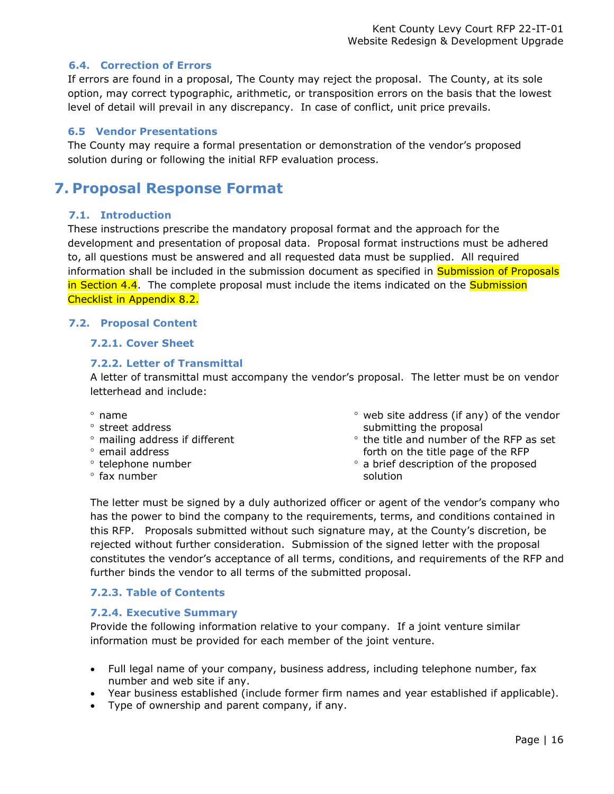#### <span id="page-19-0"></span>**6.4. Correction of Errors**

If errors are found in a proposal, The County may reject the proposal. The County, at its sole option, may correct typographic, arithmetic, or transposition errors on the basis that the lowest level of detail will prevail in any discrepancy. In case of conflict, unit price prevails.

#### <span id="page-19-1"></span>**6.5 Vendor Presentations**

The County may require a formal presentation or demonstration of the vendor's proposed solution during or following the initial RFP evaluation process.

## <span id="page-19-2"></span>**7. Proposal Response Format**

#### <span id="page-19-3"></span>**7.1. Introduction**

These instructions prescribe the mandatory proposal format and the approach for the development and presentation of proposal data. Proposal format instructions must be adhered to, all questions must be answered and all requested data must be supplied. All required information shall be included in the submission document as specified in **Submission of Proposals** in Section 4.4. The complete proposal must include the items indicated on the **Submission** Checklist in Appendix 8.2.

#### <span id="page-19-6"></span><span id="page-19-5"></span>**7.2. Proposal Content**

#### <span id="page-19-4"></span>**7.2.1. Cover Sheet**

#### **7.2.2. Letter of Transmittal**

A letter of transmittal must accompany the vendor's proposal. The letter must be on vendor letterhead and include:

- $^{\circ}$  name
- ° street address
- mailing address if different
- <sup>o</sup> email address
- <sup>o</sup> telephone number
- $\degree$  fax number
- $\degree$  web site address (if any) of the vendor submitting the proposal
- $\degree$  the title and number of the RFP as set forth on the title page of the RFP
- a brief description of the proposed solution

The letter must be signed by a duly authorized officer or agent of the vendor's company who has the power to bind the company to the requirements, terms, and conditions contained in this RFP. Proposals submitted without such signature may, at the County's discretion, be rejected without further consideration. Submission of the signed letter with the proposal constitutes the vendor's acceptance of all terms, conditions, and requirements of the RFP and further binds the vendor to all terms of the submitted proposal.

#### <span id="page-19-7"></span>**7.2.3. Table of Contents**

#### <span id="page-19-8"></span>**7.2.4. Executive Summary**

Provide the following information relative to your company. If a joint venture similar information must be provided for each member of the joint venture.

- Full legal name of your company, business address, including telephone number, fax number and web site if any.
- Year business established (include former firm names and year established if applicable).
- Type of ownership and parent company, if any.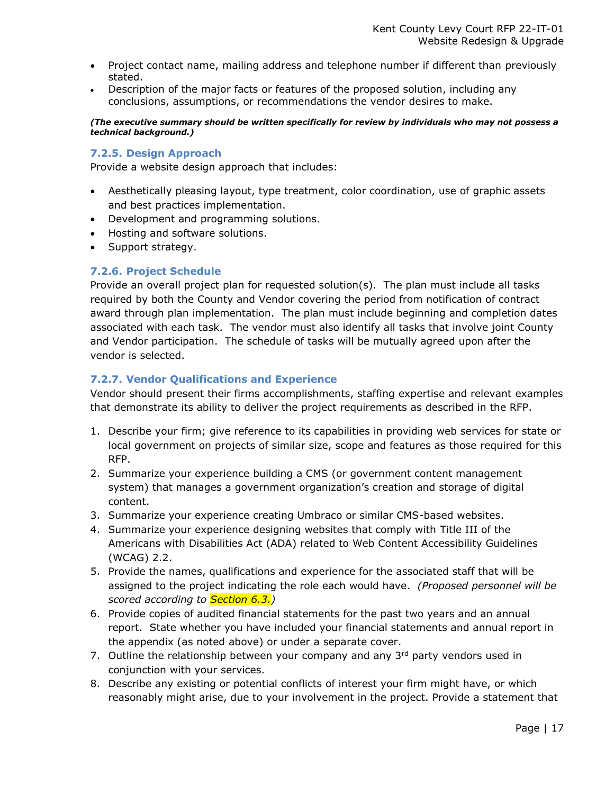- Project contact name, mailing address and telephone number if different than previously stated.
- Description of the major facts or features of the proposed solution, including any conclusions, assumptions, or recommendations the vendor desires to make.

*(The executive summary should be written specifically for review by individuals who may not possess a technical background.)*

#### <span id="page-20-0"></span>**7.2.5. Design Approach**

Provide a website design approach that includes:

- Aesthetically pleasing layout, type treatment, color coordination, use of graphic assets and best practices implementation.
- Development and programming solutions.
- Hosting and software solutions.
- Support strategy.

#### <span id="page-20-1"></span>**7.2.6. Project Schedule**

Provide an overall project plan for requested solution(s). The plan must include all tasks required by both the County and Vendor covering the period from notification of contract award through plan implementation. The plan must include beginning and completion dates associated with each task. The vendor must also identify all tasks that involve joint County and Vendor participation. The schedule of tasks will be mutually agreed upon after the vendor is selected.

### <span id="page-20-2"></span>**7.2.7. Vendor Qualifications and Experience**

Vendor should present their firms accomplishments, staffing expertise and relevant examples that demonstrate its ability to deliver the project requirements as described in the RFP.

- 1. Describe your firm; give reference to its capabilities in providing web services for state or local government on projects of similar size, scope and features as those required for this RFP.
- 2. Summarize your experience building a CMS (or government content management system) that manages a government organization's creation and storage of digital content.
- 3. Summarize your experience creating Umbraco or similar CMS-based websites.
- 4. Summarize your experience designing websites that comply with Title III of the Americans with Disabilities Act (ADA) related to Web Content Accessibility Guidelines (WCAG) 2.2.
- 5. Provide the names, qualifications and experience for the associated staff that will be assigned to the project indicating the role each would have. *(Proposed personnel will be scored according to Section 6.3.)*
- 6. Provide copies of audited financial statements for the past two years and an annual report. State whether you have included your financial statements and annual report in the appendix (as noted above) or under a separate cover.
- 7. Outline the relationship between your company and any  $3<sup>rd</sup>$  party vendors used in conjunction with your services.
- 8. Describe any existing or potential conflicts of interest your firm might have, or which reasonably might arise, due to your involvement in the project. Provide a statement that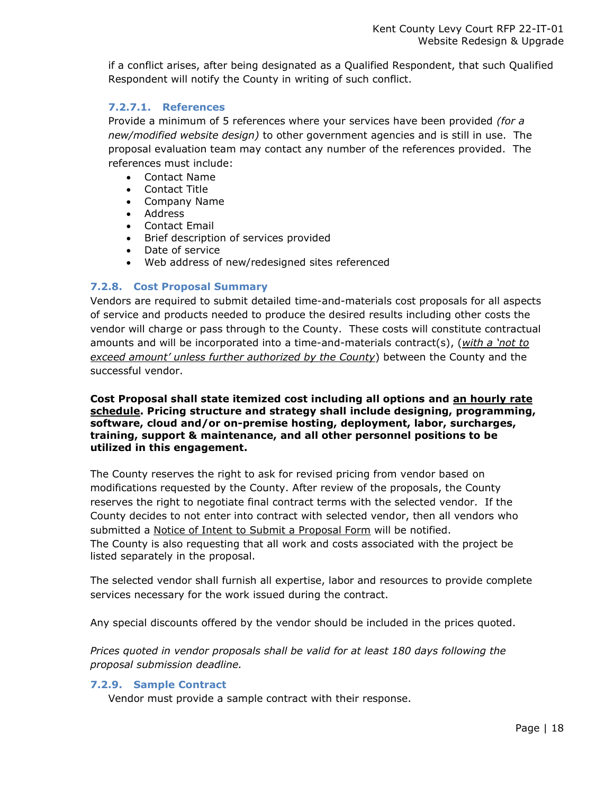if a conflict arises, after being designated as a Qualified Respondent, that such Qualified Respondent will notify the County in writing of such conflict.

### <span id="page-21-0"></span>**7.2.7.1. References**

Provide a minimum of 5 references where your services have been provided *(for a new/modified website design)* to other government agencies and is still in use. The proposal evaluation team may contact any number of the references provided. The references must include:

- Contact Name
- Contact Title
- Company Name
- Address
- Contact Email
- Brief description of services provided
- Date of service
- Web address of new/redesigned sites referenced

### <span id="page-21-1"></span>**7.2.8. Cost Proposal Summary**

Vendors are required to submit detailed time-and-materials cost proposals for all aspects of service and products needed to produce the desired results including other costs the vendor will charge or pass through to the County. These costs will constitute contractual amounts and will be incorporated into a time-and-materials contract(s), (*with a 'not to exceed amount' unless further authorized by the County*) between the County and the successful vendor.

#### **Cost Proposal shall state itemized cost including all options and an hourly rate schedule. Pricing structure and strategy shall include designing, programming, software, cloud and/or on-premise hosting, deployment, labor, surcharges, training, support & maintenance, and all other personnel positions to be utilized in this engagement.**

The County reserves the right to ask for revised pricing from vendor based on modifications requested by the County. After review of the proposals, the County reserves the right to negotiate final contract terms with the selected vendor. If the County decides to not enter into contract with selected vendor, then all vendors who submitted a Notice of Intent to Submit a Proposal Form will be notified. The County is also requesting that all work and costs associated with the project be listed separately in the proposal.

The selected vendor shall furnish all expertise, labor and resources to provide complete services necessary for the work issued during the contract.

Any special discounts offered by the vendor should be included in the prices quoted.

*Prices quoted in vendor proposals shall be valid for at least 180 days following the proposal submission deadline.*

#### <span id="page-21-2"></span>**7.2.9. Sample Contract**

Vendor must provide a sample contract with their response.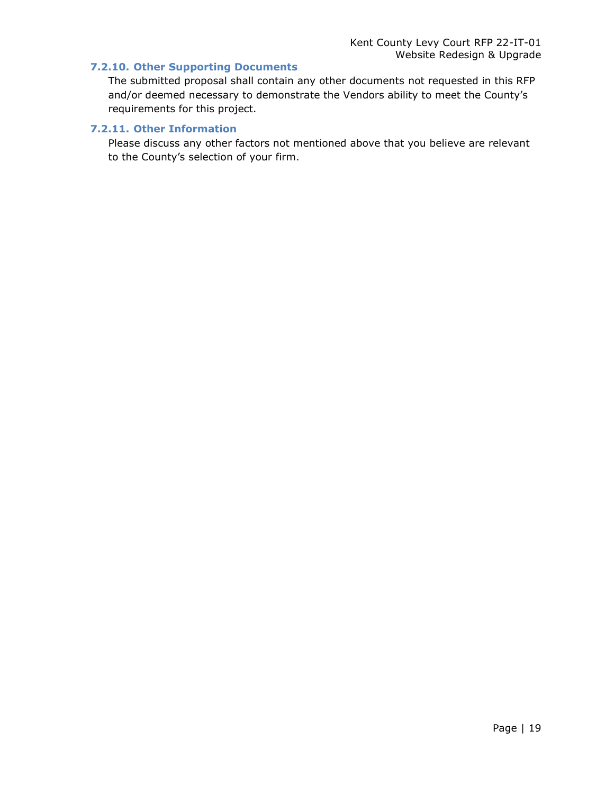#### <span id="page-22-0"></span>**7.2.10. Other Supporting Documents**

The submitted proposal shall contain any other documents not requested in this RFP and/or deemed necessary to demonstrate the Vendors ability to meet the County's requirements for this project.

### <span id="page-22-1"></span>**7.2.11. Other Information**

Please discuss any other factors not mentioned above that you believe are relevant to the County's selection of your firm.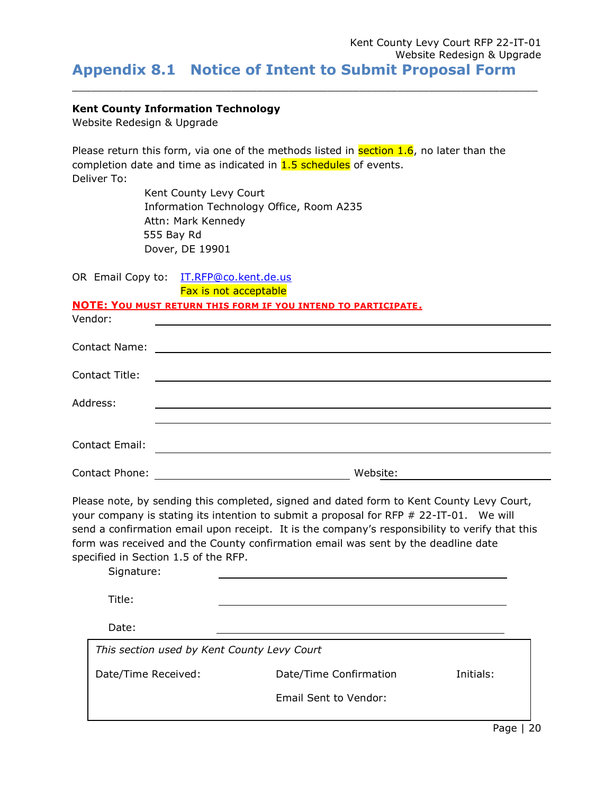<span id="page-23-0"></span> $\_$  ,  $\_$  ,  $\_$  ,  $\_$  ,  $\_$  ,  $\_$  ,  $\_$  ,  $\_$  ,  $\_$  ,  $\_$  ,  $\_$  ,  $\_$  ,  $\_$  ,  $\_$  ,  $\_$  ,  $\_$  ,  $\_$  ,  $\_$  ,  $\_$  ,  $\_$  ,  $\_$  ,  $\_$  ,  $\_$  ,  $\_$  ,  $\_$  ,  $\_$  ,  $\_$  ,  $\_$  ,  $\_$  ,  $\_$  ,  $\_$  ,  $\_$  ,  $\_$  ,  $\_$  ,  $\_$  ,  $\_$  ,  $\_$  ,

#### **Kent County Information Technology**

Website Redesign & Upgrade

Please return this form, via one of the methods listed in **section 1.6**, no later than the completion date and time as indicated in  $1.5$  schedules of events. Deliver To:

> Kent County Levy Court Information Technology Office, Room A235 Attn: Mark Kennedy 555 Bay Rd Dover, DE 19901

OR Email Copy to: [IT.RFP@co.kent.de.us](mailto:IT.RFP@co.kent.de.us) 

Fax is not acceptable

#### **NOTE: YOU MUST RETURN THIS FORM IF YOU INTEND TO PARTICIPATE.**

| Vendor:               |                                                                                                                      |
|-----------------------|----------------------------------------------------------------------------------------------------------------------|
| <b>Contact Name:</b>  | <u> 1989 - Andrea Stadt British, fransk politik (d. 1989)</u>                                                        |
| <b>Contact Title:</b> | <u> Alexandria de la contrada de la contrada de la contrada de la contrada de la contrada de la contrada de la c</u> |
| Address:              |                                                                                                                      |
|                       |                                                                                                                      |
| Contact Email:        |                                                                                                                      |
| Contact Phone:        | Website:                                                                                                             |

Please note, by sending this completed, signed and dated form to Kent County Levy Court, your company is stating its intention to submit a proposal for RFP  $# 22$ -IT-01. We will send a confirmation email upon receipt. It is the company's responsibility to verify that this form was received and the County confirmation email was sent by the deadline date specified in Section 1.5 of the RFP.

Signature:

Title:

Date:

| This section used by Kent County Levy Court |                        |           |
|---------------------------------------------|------------------------|-----------|
| Date/Time Received:                         | Date/Time Confirmation | Initials: |
|                                             | Email Sent to Vendor:  |           |
|                                             |                        |           |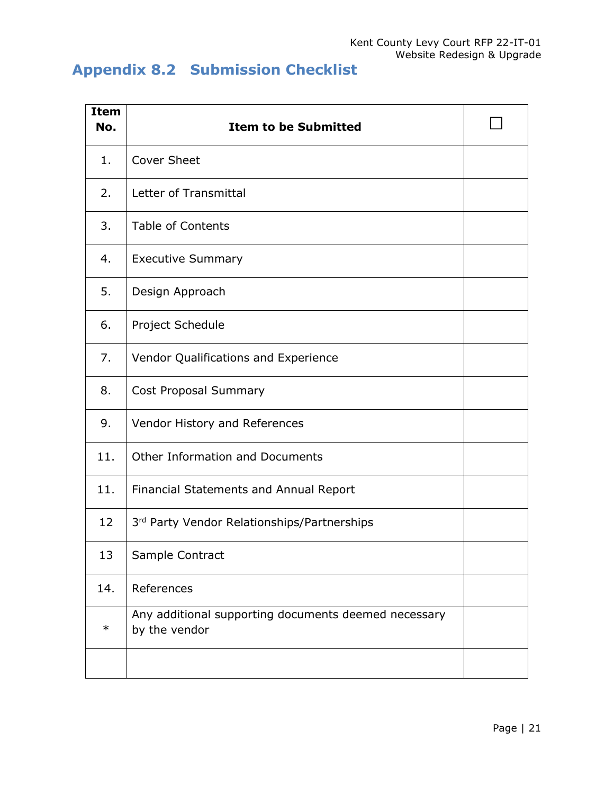# <span id="page-24-0"></span>**Appendix 8.2 Submission Checklist**

| <b>Item</b><br>No. | <b>Item to be Submitted</b>                                           |  |
|--------------------|-----------------------------------------------------------------------|--|
| 1.                 | <b>Cover Sheet</b>                                                    |  |
| 2.                 | Letter of Transmittal                                                 |  |
| 3.                 | <b>Table of Contents</b>                                              |  |
| 4.                 | <b>Executive Summary</b>                                              |  |
| 5.                 | Design Approach                                                       |  |
| 6.                 | Project Schedule                                                      |  |
| 7.                 | Vendor Qualifications and Experience                                  |  |
| 8.                 | <b>Cost Proposal Summary</b>                                          |  |
| 9.                 | Vendor History and References                                         |  |
| 11.                | Other Information and Documents                                       |  |
| 11.                | Financial Statements and Annual Report                                |  |
| 12                 | 3rd Party Vendor Relationships/Partnerships                           |  |
| 13                 | Sample Contract                                                       |  |
| 14.                | References                                                            |  |
| $\ast$             | Any additional supporting documents deemed necessary<br>by the vendor |  |
|                    |                                                                       |  |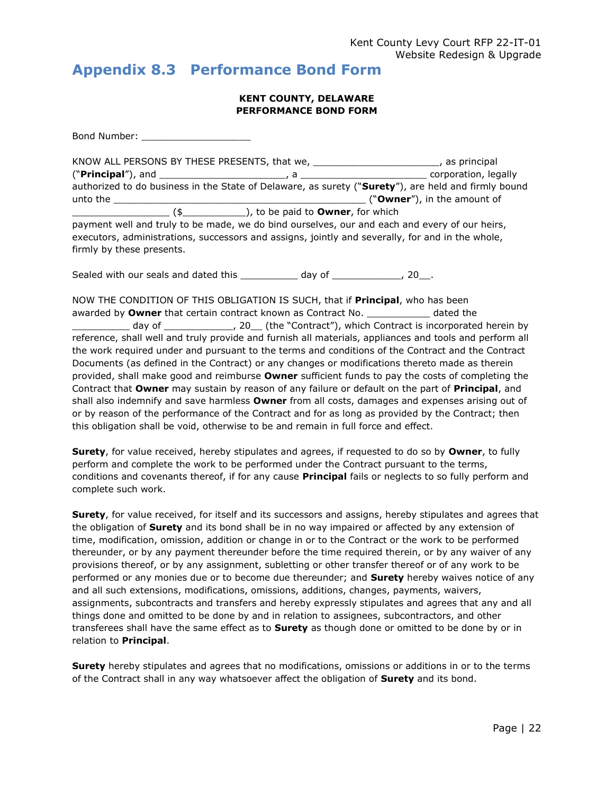## <span id="page-25-0"></span>**Appendix 8.3 Performance Bond Form**

#### **KENT COUNTY, DELAWARE PERFORMANCE BOND FORM**

Bond Number: \_\_\_\_\_\_\_\_\_\_\_\_\_\_\_\_\_\_\_ KNOW ALL PERSONS BY THESE PRESENTS, that we, \_\_\_\_\_\_\_\_\_\_\_\_\_\_\_\_\_\_\_\_\_\_, as principal ("**Principal**"), and \_\_\_\_\_\_\_\_\_\_\_\_\_\_\_\_\_\_\_\_\_\_, a \_\_\_\_\_\_\_\_\_\_\_\_\_\_\_\_\_\_\_\_\_\_ corporation, legally authorized to do business in the State of Delaware, as surety ("**Surety**"), are held and firmly bound unto the \_\_\_\_\_\_\_\_\_\_\_\_\_\_\_\_\_\_\_\_\_\_\_\_\_\_\_\_\_\_\_\_\_\_\_\_\_\_\_\_\_\_\_\_ ("**Owner**"), in the amount of \_\_\_\_\_\_\_\_\_\_\_\_\_\_\_\_\_ (\$\_\_\_\_\_\_\_\_\_\_\_), to be paid to **Owner**, for which payment well and truly to be made, we do bind ourselves, our and each and every of our heirs, executors, administrations, successors and assigns, jointly and severally, for and in the whole, firmly by these presents.

Sealed with our seals and dated this example and day of the sealed vith our seals and dated this

NOW THE CONDITION OF THIS OBLIGATION IS SUCH, that if **Principal**, who has been awarded by **Owner** that certain contract known as Contract No. \_\_\_\_\_\_\_\_\_\_\_ dated the \_ day of \_\_\_\_\_\_\_\_\_\_\_\_\_\_, 20\_\_ (the "Contract"), which Contract is incorporated herein by reference, shall well and truly provide and furnish all materials, appliances and tools and perform all the work required under and pursuant to the terms and conditions of the Contract and the Contract Documents (as defined in the Contract) or any changes or modifications thereto made as therein provided, shall make good and reimburse **Owner** sufficient funds to pay the costs of completing the Contract that **Owner** may sustain by reason of any failure or default on the part of **Principal**, and shall also indemnify and save harmless **Owner** from all costs, damages and expenses arising out of or by reason of the performance of the Contract and for as long as provided by the Contract; then this obligation shall be void, otherwise to be and remain in full force and effect.

**Surety**, for value received, hereby stipulates and agrees, if requested to do so by **Owner**, to fully perform and complete the work to be performed under the Contract pursuant to the terms, conditions and covenants thereof, if for any cause **Principal** fails or neglects to so fully perform and complete such work.

**Surety**, for value received, for itself and its successors and assigns, hereby stipulates and agrees that the obligation of **Surety** and its bond shall be in no way impaired or affected by any extension of time, modification, omission, addition or change in or to the Contract or the work to be performed thereunder, or by any payment thereunder before the time required therein, or by any waiver of any provisions thereof, or by any assignment, subletting or other transfer thereof or of any work to be performed or any monies due or to become due thereunder; and **Surety** hereby waives notice of any and all such extensions, modifications, omissions, additions, changes, payments, waivers, assignments, subcontracts and transfers and hereby expressly stipulates and agrees that any and all things done and omitted to be done by and in relation to assignees, subcontractors, and other transferees shall have the same effect as to **Surety** as though done or omitted to be done by or in relation to **Principal**.

**Surety** hereby stipulates and agrees that no modifications, omissions or additions in or to the terms of the Contract shall in any way whatsoever affect the obligation of **Surety** and its bond.